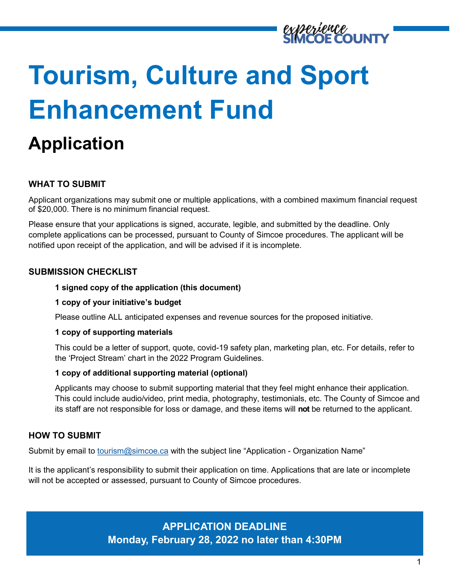

# **Tourism, Culture and Sport Enhancement Fund**

## **Application**

## **WHAT TO SUBMIT**

Applicant organizations may submit one or multiple applications, with a combined maximum financial request of \$20,000. There is no minimum financial request.

Please ensure that your applications is signed, accurate, legible, and submitted by the deadline. Only complete applications can be processed, pursuant to County of Simcoe procedures. The applicant will be notified upon receipt of the application, and will be advised if it is incomplete.

## **SUBMISSION CHECKLIST**

## **1 signed copy of the application (this document)**

#### **1 copy of your initiative's budget**

Please outline ALL anticipated expenses and revenue sources for the proposed initiative.

## **1 copy of supporting materials**

This could be a letter of support, quote, covid-19 safety plan, marketing plan, etc. For details, refer to the 'Project Stream' chart in the 2022 Program Guidelines.

## **1 copy of additional supporting material (optional)**

Applicants may choose to submit supporting material that they feel might enhance their application. This could include audio/video, print media, photography, testimonials, etc. The County of Simcoe and its staff are not responsible for loss or damage, and these items will **not** be returned to the applicant.

## **HOW TO SUBMIT**

Submit by email to [tourism@simcoe.ca](mailto:tourism@simcoe.ca) with the subject line "Application - Organization Name"

It is the applicant's responsibility to submit their application on time. Applications that are late or incomplete will not be accepted or assessed, pursuant to County of Simcoe procedures.

> **APPLICATION DEADLINE Monday, February 28, 2022 no later than 4:30PM**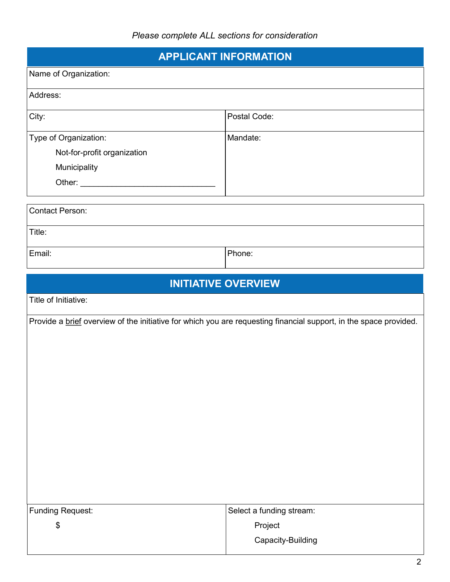| <b>APPLICANT INFORMATION</b>                                                                                      |                                     |  |
|-------------------------------------------------------------------------------------------------------------------|-------------------------------------|--|
| Name of Organization:                                                                                             |                                     |  |
| Address:                                                                                                          |                                     |  |
| City:                                                                                                             | Postal Code:                        |  |
| Type of Organization:<br>Not-for-profit organization<br>Municipality                                              | Mandate:                            |  |
| <b>Contact Person:</b>                                                                                            |                                     |  |
| Title:                                                                                                            |                                     |  |
| Email:                                                                                                            | Phone:                              |  |
|                                                                                                                   | <b>INITIATIVE OVERVIEW</b>          |  |
| Title of Initiative:                                                                                              |                                     |  |
| Provide a brief overview of the initiative for which you are requesting financial support, in the space provided. |                                     |  |
| <b>Funding Request:</b><br>\$                                                                                     | Select a funding stream:<br>Project |  |
|                                                                                                                   | Capacity-Building                   |  |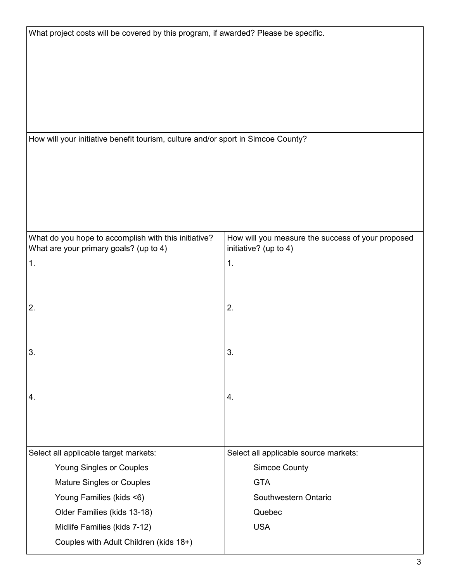|                                                                                  | What project costs will be covered by this program, if awarded? Please be specific. |  |  |  |
|----------------------------------------------------------------------------------|-------------------------------------------------------------------------------------|--|--|--|
|                                                                                  |                                                                                     |  |  |  |
|                                                                                  |                                                                                     |  |  |  |
|                                                                                  |                                                                                     |  |  |  |
|                                                                                  |                                                                                     |  |  |  |
| How will your initiative benefit tourism, culture and/or sport in Simcoe County? |                                                                                     |  |  |  |
|                                                                                  |                                                                                     |  |  |  |
|                                                                                  |                                                                                     |  |  |  |
|                                                                                  |                                                                                     |  |  |  |
|                                                                                  |                                                                                     |  |  |  |
| What do you hope to accomplish with this initiative?                             | How will you measure the success of your proposed                                   |  |  |  |
| What are your primary goals? (up to 4)                                           | initiative? (up to 4)                                                               |  |  |  |
| 1.                                                                               | 1.                                                                                  |  |  |  |
|                                                                                  |                                                                                     |  |  |  |
| 2.                                                                               | 2.                                                                                  |  |  |  |
|                                                                                  |                                                                                     |  |  |  |
|                                                                                  |                                                                                     |  |  |  |
| 3.                                                                               | 3.                                                                                  |  |  |  |
|                                                                                  |                                                                                     |  |  |  |
| 4.                                                                               | 4.                                                                                  |  |  |  |
|                                                                                  |                                                                                     |  |  |  |
|                                                                                  |                                                                                     |  |  |  |
|                                                                                  |                                                                                     |  |  |  |
| Select all applicable target markets:                                            | Select all applicable source markets:                                               |  |  |  |
| Young Singles or Couples                                                         | <b>Simcoe County</b><br><b>GTA</b>                                                  |  |  |  |
| Mature Singles or Couples                                                        | Southwestern Ontario                                                                |  |  |  |
| Young Families (kids <6)                                                         |                                                                                     |  |  |  |
| Older Families (kids 13-18)                                                      | Quebec<br><b>USA</b>                                                                |  |  |  |
| Midlife Families (kids 7-12)                                                     |                                                                                     |  |  |  |
| Couples with Adult Children (kids 18+)                                           |                                                                                     |  |  |  |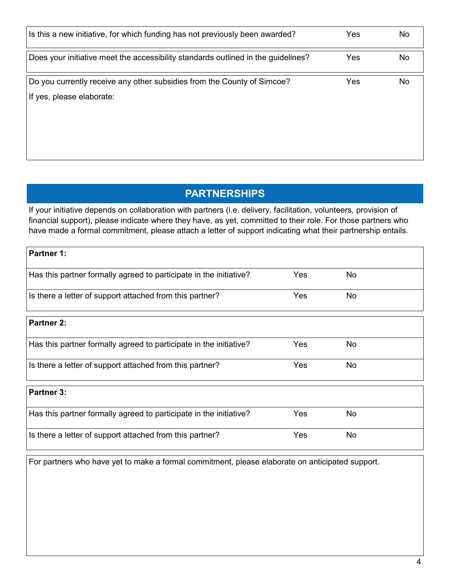| Is this a new initiative, for which funding has not previously been awarded?                         | Yes | No |
|------------------------------------------------------------------------------------------------------|-----|----|
| Does your initiative meet the accessibility standards outlined in the guidelines?                    | Yes | No |
| Do you currently receive any other subsidies from the County of Simcoe?<br>If yes, please elaborate: | Yes | No |

## **PARTNERSHIPS**

If your initiative depends on collaboration with partners (i.e. delivery, facilitation, volunteers, provision of financial support), please indicate where they have, as yet, committed to their role. For those partners who have made a formal commitment, please attach a letter of support indicating what their partnership entails.

| Partner 1:                                                         |     |           |  |
|--------------------------------------------------------------------|-----|-----------|--|
| Has this partner formally agreed to participate in the initiative? | Yes | No.       |  |
| Is there a letter of support attached from this partner?           | Yes | <b>No</b> |  |
| <b>Partner 2:</b>                                                  |     |           |  |
| Has this partner formally agreed to participate in the initiative? | Yes | No.       |  |
| Is there a letter of support attached from this partner?           | Yes | No.       |  |
| <b>Partner 3:</b>                                                  |     |           |  |
| Has this partner formally agreed to participate in the initiative? | Yes | No.       |  |
| Is there a letter of support attached from this partner?           | Yes | No.       |  |

For partners who have yet to make a formal commitment, please elaborate on anticipated support.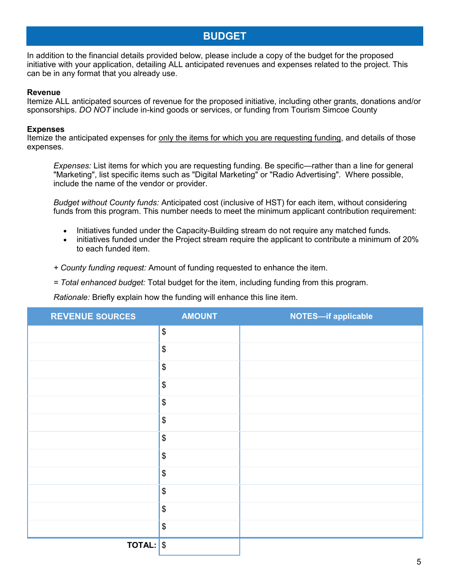## **BUDGET**

In addition to the financial details provided below, please include a copy of the budget for the proposed initiative with your application, detailing ALL anticipated revenues and expenses related to the project. This can be in any format that you already use.

### **Revenue**

Itemize ALL anticipated sources of revenue for the proposed initiative, including other grants, donations and/or sponsorships. *DO NOT* include in-kind goods or services, or funding from Tourism Simcoe County

#### **Expenses**

Itemize the anticipated expenses for only the items for which you are requesting funding, and details of those expenses.

*Expenses:* List items for which you are requesting funding. Be specific—rather than a line for general "Marketing", list specific items such as "Digital Marketing" or "Radio Advertising". Where possible, include the name of the vendor or provider.

*Budget without County funds:* Anticipated cost (inclusive of HST) for each item, without considering funds from this program. This number needs to meet the minimum applicant contribution requirement:

- Initiatives funded under the Capacity-Building stream do not require any matched funds.
- initiatives funded under the Project stream require the applicant to contribute a minimum of 20% to each funded item.
- *+ County funding request:* Amount of funding requested to enhance the item.
- *= Total enhanced budget:* Total budget for the item, including funding from this program.

*Rationale:* Briefly explain how the funding will enhance this line item.

| <b>REVENUE SOURCES</b> | <b>AMOUNT</b>                             | NOTES-if applicable |
|------------------------|-------------------------------------------|---------------------|
|                        | $\pmb{\$}$                                |                     |
|                        | $\, \, \raisebox{12pt}{$\scriptstyle \$}$ |                     |
|                        | $\boldsymbol{\$}$                         |                     |
|                        | $\, \, \raisebox{12pt}{$\scriptstyle \$}$ |                     |
|                        | $\, \, \raisebox{12pt}{$\scriptstyle \$}$ |                     |
|                        | $\, \, \raisebox{12pt}{$\scriptstyle \$}$ |                     |
|                        | $\, \, \raisebox{12pt}{$\scriptstyle \$}$ |                     |
|                        | $\boldsymbol{\$}$                         |                     |
|                        | $\, \, \raisebox{12pt}{$\scriptstyle \$}$ |                     |
|                        | $\pmb{\$}$                                |                     |
|                        | $\, \, \raisebox{12pt}{$\scriptstyle \$}$ |                     |
|                        | $\pmb{\$}$                                |                     |
| TOTAL:                 | $\boldsymbol{\$}$                         |                     |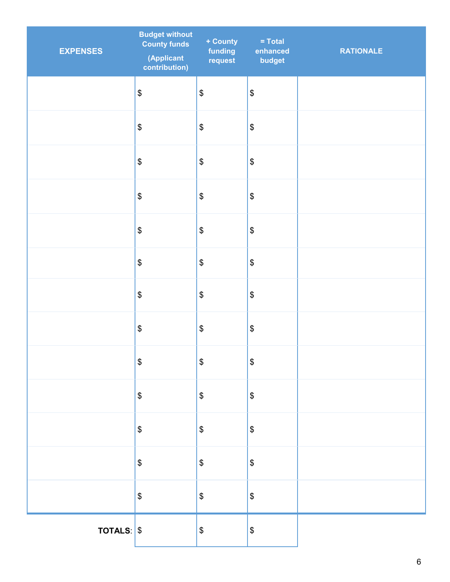| <b>EXPENSES</b>   | <b>Budget without<br/>County funds</b><br>(Applicant<br>contribution) | + County<br>funding<br>request            | $=$ Total<br>enhanced<br>budget           | <b>RATIONALE</b> |
|-------------------|-----------------------------------------------------------------------|-------------------------------------------|-------------------------------------------|------------------|
|                   | \$                                                                    | $\, \, \raisebox{12pt}{$\scriptstyle \$}$ | $\boldsymbol{\$}$                         |                  |
|                   | \$                                                                    | $\, \, \raisebox{12pt}{$\scriptstyle \$}$ | $\boldsymbol{\$}$                         |                  |
|                   | \$                                                                    | $\, \, \raisebox{12pt}{$\scriptstyle \$}$ | $\, \, \raisebox{12pt}{$\scriptstyle \$}$ |                  |
|                   | \$                                                                    | $\, \, \raisebox{12pt}{$\scriptstyle \$}$ | $\boldsymbol{\$}$                         |                  |
|                   | \$                                                                    | $\, \, \raisebox{12pt}{$\scriptstyle \$}$ | $\boldsymbol{\$}$                         |                  |
|                   | \$                                                                    | $\, \, \raisebox{12pt}{$\scriptstyle \$}$ | $\boldsymbol{\$}$                         |                  |
|                   | \$                                                                    | $\, \, \raisebox{12pt}{$\scriptstyle \$}$ | $\boldsymbol{\$}$                         |                  |
|                   | \$                                                                    | $\, \, \raisebox{12pt}{$\scriptstyle \$}$ | $\boldsymbol{\$}$                         |                  |
|                   | $\, \, \raisebox{12pt}{$\scriptstyle \$}$                             | $\boldsymbol{\$}$                         | $\boldsymbol{\$}$                         |                  |
|                   | $\, \, \raisebox{12pt}{$\scriptstyle \$}$                             | $\pmb{\$}$                                | $\boldsymbol{\$}$                         |                  |
|                   | $\, \, \raisebox{12pt}{$\scriptstyle \$}$                             | $\pmb{\$}$                                | $\boldsymbol{\$}$                         |                  |
|                   | \$                                                                    | $\pmb{\$}$                                | $\boldsymbol{\$}$                         |                  |
|                   | \$                                                                    | $\pmb{\$}$                                | $\boldsymbol{\$}$                         |                  |
| <b>TOTALS:</b> \$ |                                                                       | $\pmb{\$}$                                | $\boldsymbol{\$}$                         |                  |